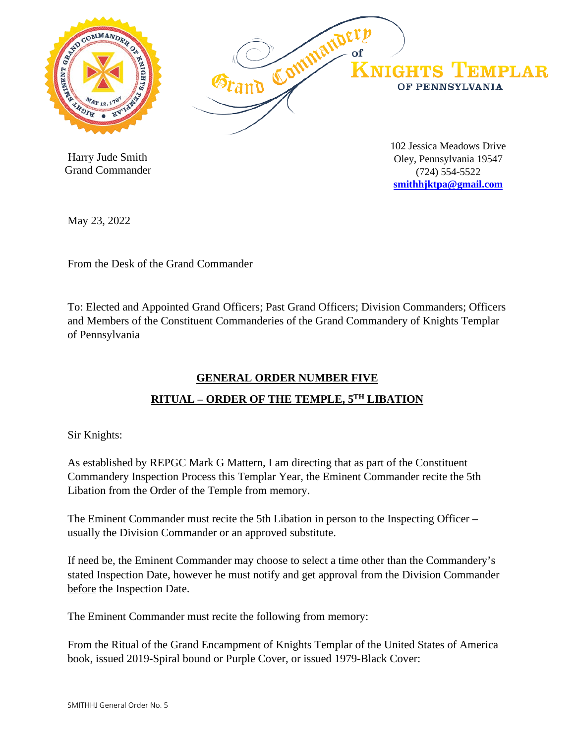

 Harry Jude Smith Grand Commander 102 Jessica Meadows Drive Oley, Pennsylvania 19547 (724) 554-5522 **[smithhjktpa@gmail.com](mailto:smithhjktpa@gmail.com)**

May 23, 2022

From the Desk of the Grand Commander

To: Elected and Appointed Grand Officers; Past Grand Officers; Division Commanders; Officers and Members of the Constituent Commanderies of the Grand Commandery of Knights Templar of Pennsylvania

## **GENERAL ORDER NUMBER FIVE**

## **RITUAL – ORDER OF THE TEMPLE, 5TH LIBATION**

Sir Knights:

As established by REPGC Mark G Mattern, I am directing that as part of the Constituent Commandery Inspection Process this Templar Year, the Eminent Commander recite the 5th Libation from the Order of the Temple from memory.

The Eminent Commander must recite the 5th Libation in person to the Inspecting Officer – usually the Division Commander or an approved substitute.

If need be, the Eminent Commander may choose to select a time other than the Commandery's stated Inspection Date, however he must notify and get approval from the Division Commander before the Inspection Date.

The Eminent Commander must recite the following from memory:

From the Ritual of the Grand Encampment of Knights Templar of the United States of America book, issued 2019-Spiral bound or Purple Cover, or issued 1979-Black Cover: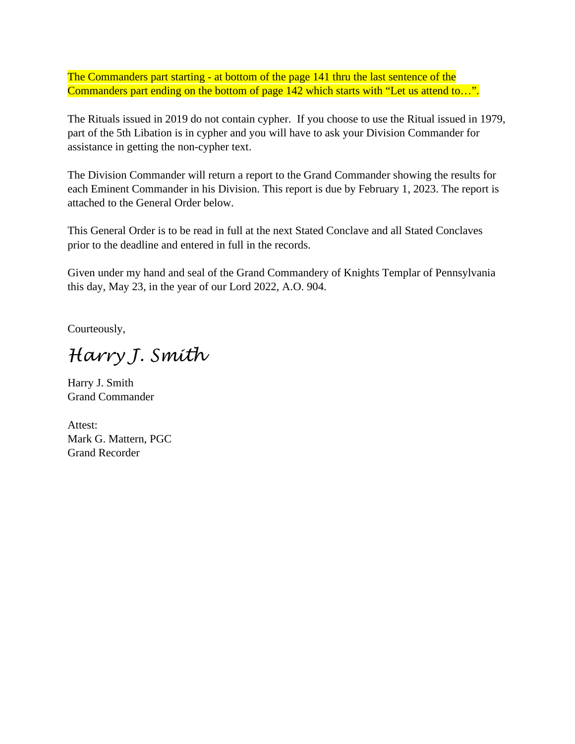The Commanders part starting - at bottom of the page 141 thru the last sentence of the Commanders part ending on the bottom of page 142 which starts with "Let us attend to...".

The Rituals issued in 2019 do not contain cypher. If you choose to use the Ritual issued in 1979, part of the 5th Libation is in cypher and you will have to ask your Division Commander for assistance in getting the non-cypher text.

The Division Commander will return a report to the Grand Commander showing the results for each Eminent Commander in his Division. This report is due by February 1, 2023. The report is attached to the General Order below.

This General Order is to be read in full at the next Stated Conclave and all Stated Conclaves prior to the deadline and entered in full in the records.

Given under my hand and seal of the Grand Commandery of Knights Templar of Pennsylvania this day, May 23, in the year of our Lord 2022, A.O. 904.

Courteously,

*Harry J. Smith*

Harry J. Smith Grand Commander

Attest: Mark G. Mattern, PGC Grand Recorder